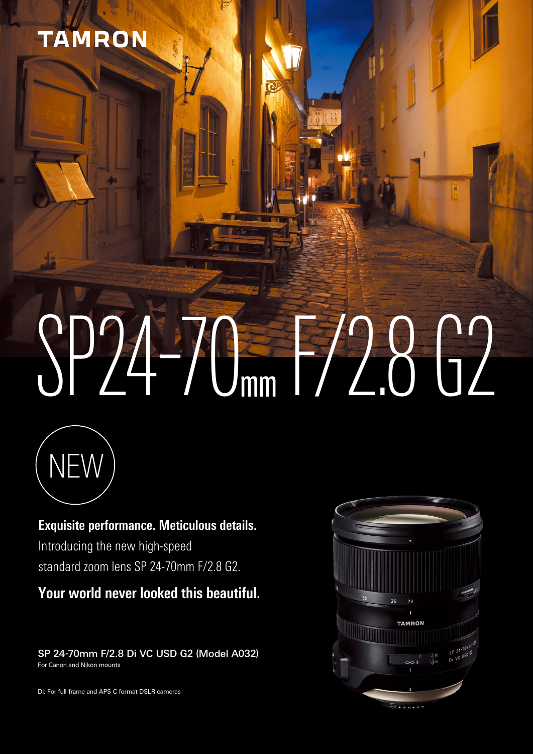# TAMRON

# SP24-70mm 1/2.8 G2



**Exquisite performance. Meticulous details.** Introducing the new high-speed standard zoom lens SP 24-70mm F/2.8 G2.

**Your world never looked this beautiful.** 

SP 24-70mm F/2.8 Di VC USD G2 (Model A032) For Canon and Nikon mounts

Di: For full-frame and APS-C format DSLR cameras